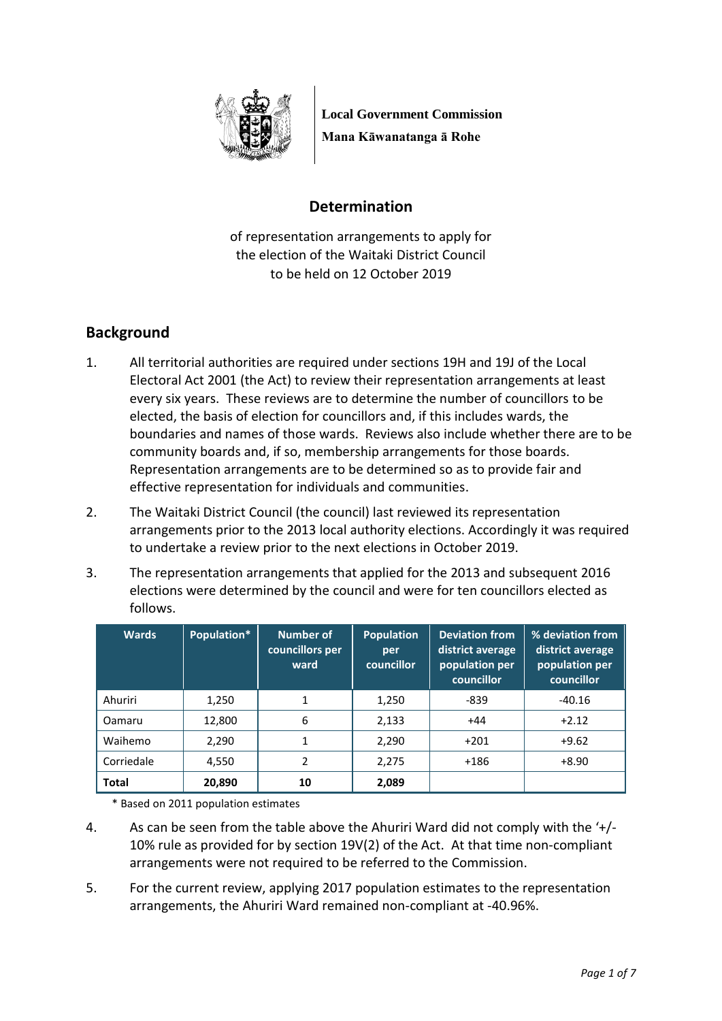

**Local Government Commission Mana Kāwanatanga ā Rohe**

## **Determination**

of representation arrangements to apply for the election of the Waitaki District Council to be held on 12 October 2019

# **Background**

- 1. All territorial authorities are required under sections 19H and 19J of the Local Electoral Act 2001 (the Act) to review their representation arrangements at least every six years. These reviews are to determine the number of councillors to be elected, the basis of election for councillors and, if this includes wards, the boundaries and names of those wards. Reviews also include whether there are to be community boards and, if so, membership arrangements for those boards. Representation arrangements are to be determined so as to provide fair and effective representation for individuals and communities.
- 2. The Waitaki District Council (the council) last reviewed its representation arrangements prior to the 2013 local authority elections. Accordingly it was required to undertake a review prior to the next elections in October 2019.
- 3. The representation arrangements that applied for the 2013 and subsequent 2016 elections were determined by the council and were for ten councillors elected as follows.

| <b>Wards</b> | Population* | <b>Number of</b><br>councillors per<br>ward | <b>Population</b><br>per<br>councillor | <b>Deviation from</b><br>district average<br>population per<br>councillor | % deviation from<br>district average<br>population per<br>councillor |
|--------------|-------------|---------------------------------------------|----------------------------------------|---------------------------------------------------------------------------|----------------------------------------------------------------------|
| Ahuriri      | 1,250       |                                             | 1,250                                  | -839                                                                      | $-40.16$                                                             |
| Oamaru       | 12,800      | 6                                           | 2,133                                  | $+44$                                                                     | $+2.12$                                                              |
| Waihemo      | 2,290       |                                             | 2,290                                  | $+201$                                                                    | $+9.62$                                                              |
| Corriedale   | 4,550       | 2                                           | 2,275                                  | $+186$                                                                    | $+8.90$                                                              |
| <b>Total</b> | 20,890      | 10                                          | 2,089                                  |                                                                           |                                                                      |

\* Based on 2011 population estimates

- 4. As can be seen from the table above the Ahuriri Ward did not comply with the '+/- 10% rule as provided for by section 19V(2) of the Act. At that time non-compliant arrangements were not required to be referred to the Commission.
- 5. For the current review, applying 2017 population estimates to the representation arrangements, the Ahuriri Ward remained non-compliant at -40.96%.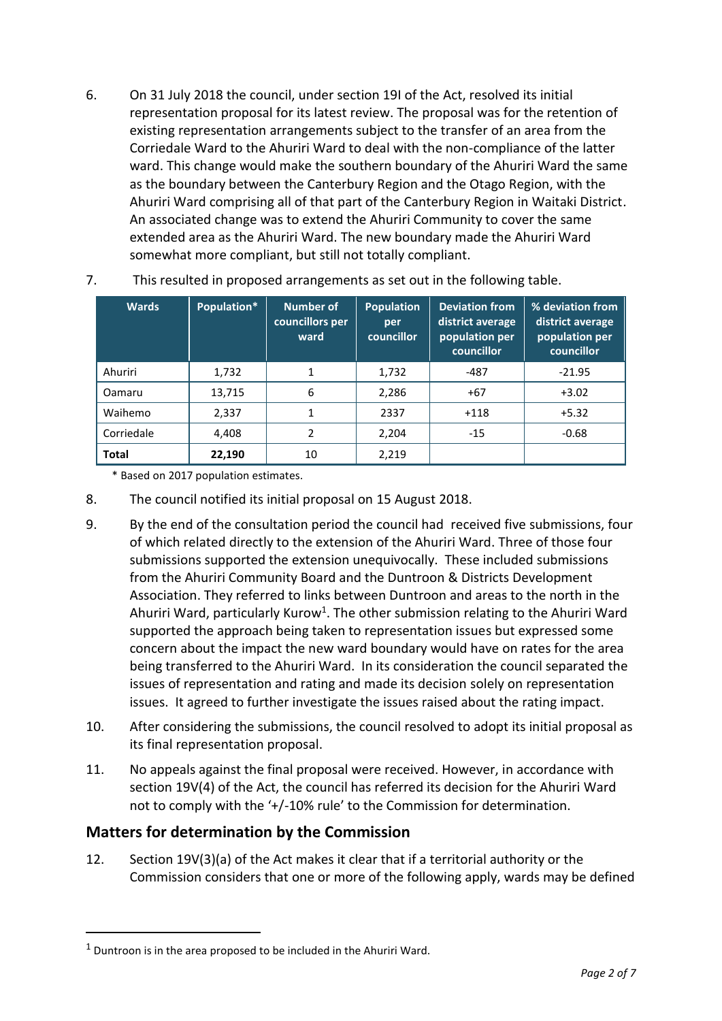6. On 31 July 2018 the council, under section 19I of the Act, resolved its initial representation proposal for its latest review. The proposal was for the retention of existing representation arrangements subject to the transfer of an area from the Corriedale Ward to the Ahuriri Ward to deal with the non-compliance of the latter ward. This change would make the southern boundary of the Ahuriri Ward the same as the boundary between the Canterbury Region and the Otago Region, with the Ahuriri Ward comprising all of that part of the Canterbury Region in Waitaki District. An associated change was to extend the Ahuriri Community to cover the same extended area as the Ahuriri Ward. The new boundary made the Ahuriri Ward somewhat more compliant, but still not totally compliant.

| <b>Wards</b> | Population* | <b>Number of</b><br>councillors per<br>ward | <b>Population</b><br>per<br>councillor | <b>Deviation from</b><br>district average<br>population per<br>councillor | % deviation from<br>district average<br>population per<br>councillor |
|--------------|-------------|---------------------------------------------|----------------------------------------|---------------------------------------------------------------------------|----------------------------------------------------------------------|
| Ahuriri      | 1,732       | 1                                           | 1,732                                  | $-487$                                                                    | $-21.95$                                                             |
| Oamaru       | 13,715      | 6                                           | 2,286                                  | $+67$                                                                     | $+3.02$                                                              |
| Waihemo      | 2,337       | 1                                           | 2337                                   | $+118$                                                                    | $+5.32$                                                              |
| Corriedale   | 4,408       | 2                                           | 2,204                                  | $-15$                                                                     | $-0.68$                                                              |
| <b>Total</b> | 22,190      | 10                                          | 2,219                                  |                                                                           |                                                                      |

7. This resulted in proposed arrangements as set out in the following table.

\* Based on 2017 population estimates.

- 8. The council notified its initial proposal on 15 August 2018.
- 9. By the end of the consultation period the council had received five submissions, four of which related directly to the extension of the Ahuriri Ward. Three of those four submissions supported the extension unequivocally. These included submissions from the Ahuriri Community Board and the Duntroon & Districts Development Association. They referred to links between Duntroon and areas to the north in the Ahuriri Ward, particularly Kurow<sup>1</sup>. The other submission relating to the Ahuriri Ward supported the approach being taken to representation issues but expressed some concern about the impact the new ward boundary would have on rates for the area being transferred to the Ahuriri Ward. In its consideration the council separated the issues of representation and rating and made its decision solely on representation issues. It agreed to further investigate the issues raised about the rating impact.
- 10. After considering the submissions, the council resolved to adopt its initial proposal as its final representation proposal.
- 11. No appeals against the final proposal were received. However, in accordance with section 19V(4) of the Act, the council has referred its decision for the Ahuriri Ward not to comply with the '+/-10% rule' to the Commission for determination.

### **Matters for determination by the Commission**

12. Section 19V(3)(a) of the Act makes it clear that if a territorial authority or the Commission considers that one or more of the following apply, wards may be defined

 $\overline{a}$ 

<sup>1</sup> Duntroon is in the area proposed to be included in the Ahuriri Ward.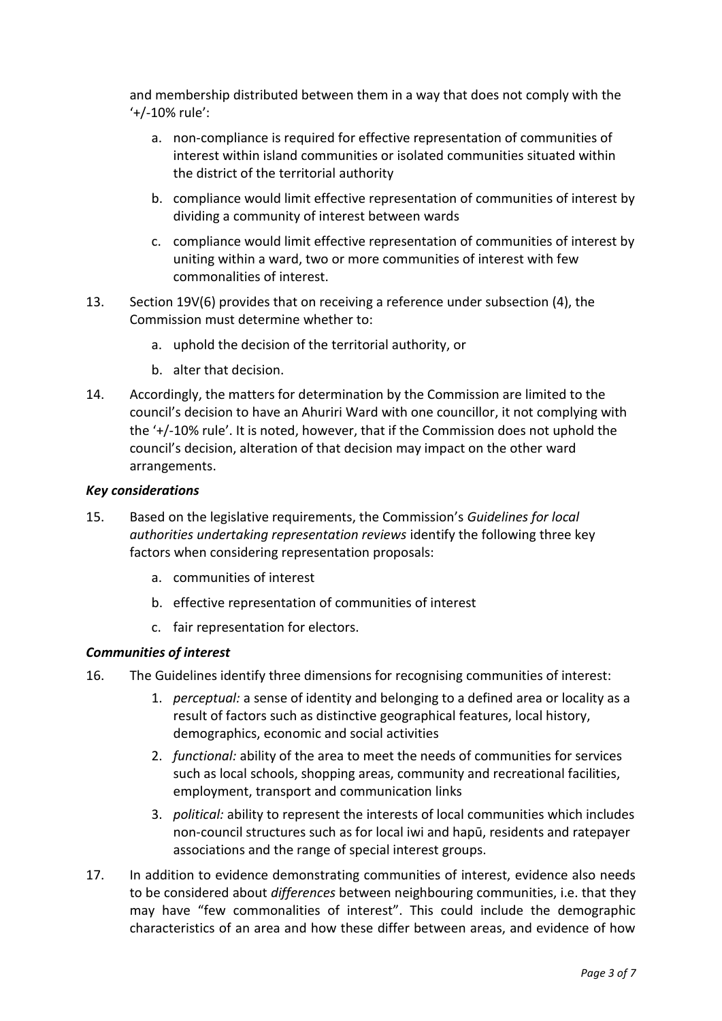and membership distributed between them in a way that does not comply with the '+/-10% rule':

- a. non-compliance is required for effective representation of communities of interest within island communities or isolated communities situated within the district of the territorial authority
- b. compliance would limit effective representation of communities of interest by dividing a community of interest between wards
- c. compliance would limit effective representation of communities of interest by uniting within a ward, two or more communities of interest with few commonalities of interest.
- 13. Section 19V(6) provides that on receiving a reference under subsection (4), the Commission must determine whether to:
	- a. uphold the decision of the territorial authority, or
	- b. alter that decision.
- 14. Accordingly, the matters for determination by the Commission are limited to the council's decision to have an Ahuriri Ward with one councillor, it not complying with the '+/-10% rule'. It is noted, however, that if the Commission does not uphold the council's decision, alteration of that decision may impact on the other ward arrangements.

#### *Key considerations*

- 15. Based on the legislative requirements, the Commission's *Guidelines for local authorities undertaking representation reviews* identify the following three key factors when considering representation proposals:
	- a. communities of interest
	- b. effective representation of communities of interest
	- c. fair representation for electors.

#### *Communities of interest*

- 16. The Guidelines identify three dimensions for recognising communities of interest:
	- 1. *perceptual:* a sense of identity and belonging to a defined area or locality as a result of factors such as distinctive geographical features, local history, demographics, economic and social activities
	- 2. *functional:* ability of the area to meet the needs of communities for services such as local schools, shopping areas, community and recreational facilities, employment, transport and communication links
	- 3. *political:* ability to represent the interests of local communities which includes non-council structures such as for local iwi and hapū, residents and ratepayer associations and the range of special interest groups.
- 17. In addition to evidence demonstrating communities of interest, evidence also needs to be considered about *differences* between neighbouring communities, i.e. that they may have "few commonalities of interest". This could include the demographic characteristics of an area and how these differ between areas, and evidence of how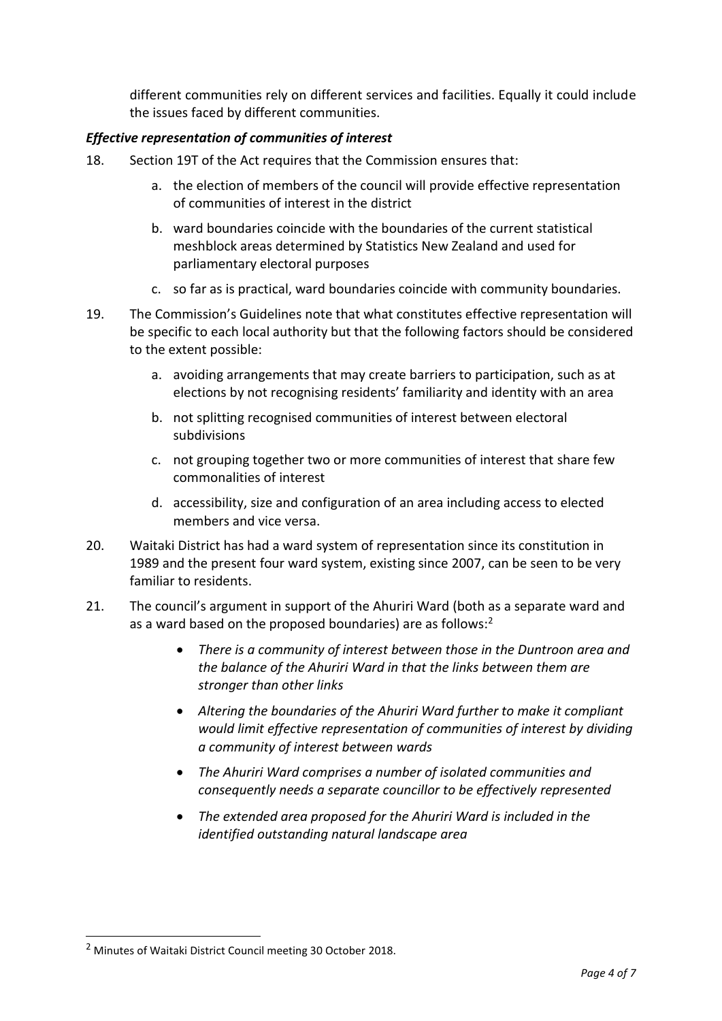different communities rely on different services and facilities. Equally it could include the issues faced by different communities.

### *Effective representation of communities of interest*

- 18. Section 19T of the Act requires that the Commission ensures that:
	- a. the election of members of the council will provide effective representation of communities of interest in the district
	- b. ward boundaries coincide with the boundaries of the current statistical meshblock areas determined by Statistics New Zealand and used for parliamentary electoral purposes
	- c. so far as is practical, ward boundaries coincide with community boundaries.
- 19. The Commission's Guidelines note that what constitutes effective representation will be specific to each local authority but that the following factors should be considered to the extent possible:
	- a. avoiding arrangements that may create barriers to participation, such as at elections by not recognising residents' familiarity and identity with an area
	- b. not splitting recognised communities of interest between electoral subdivisions
	- c. not grouping together two or more communities of interest that share few commonalities of interest
	- d. accessibility, size and configuration of an area including access to elected members and vice versa.
- 20. Waitaki District has had a ward system of representation since its constitution in 1989 and the present four ward system, existing since 2007, can be seen to be very familiar to residents.
- 21. The council's argument in support of the Ahuriri Ward (both as a separate ward and as a ward based on the proposed boundaries) are as follows:<sup>2</sup>
	- *There is a community of interest between those in the Duntroon area and the balance of the Ahuriri Ward in that the links between them are stronger than other links*
	- *Altering the boundaries of the Ahuriri Ward further to make it compliant would limit effective representation of communities of interest by dividing a community of interest between wards*
	- *The Ahuriri Ward comprises a number of isolated communities and consequently needs a separate councillor to be effectively represented*
	- *The extended area proposed for the Ahuriri Ward is included in the identified outstanding natural landscape area*

 $\overline{a}$ <sup>2</sup> Minutes of Waitaki District Council meeting 30 October 2018.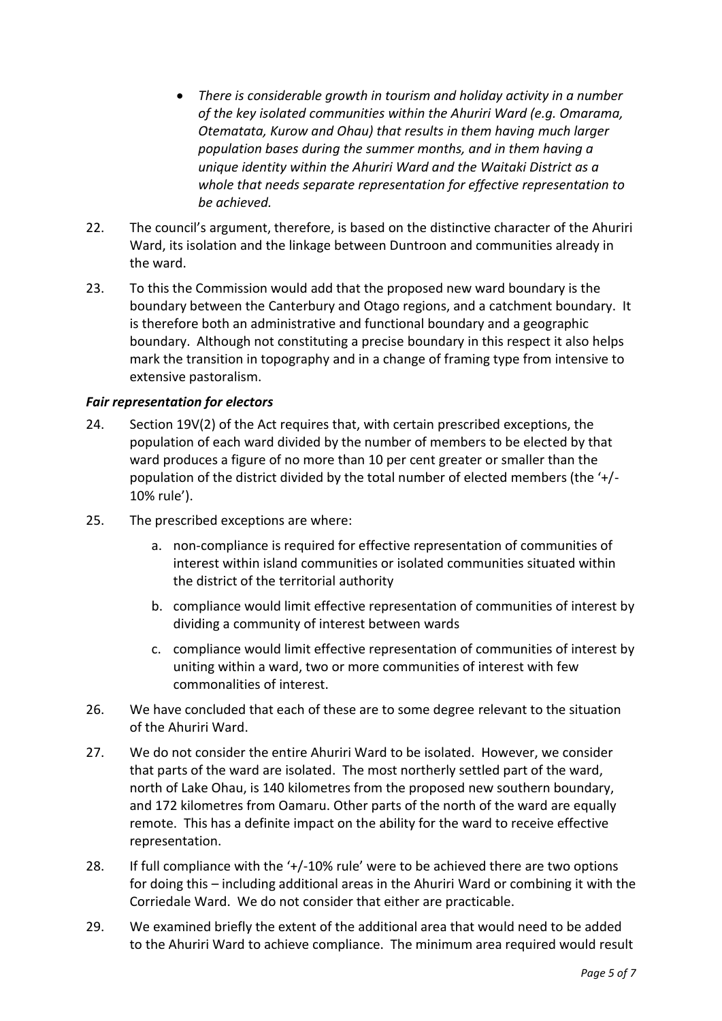- *There is considerable growth in tourism and holiday activity in a number of the key isolated communities within the Ahuriri Ward (e.g. Omarama, Otematata, Kurow and Ohau) that results in them having much larger population bases during the summer months, and in them having a unique identity within the Ahuriri Ward and the Waitaki District as a whole that needs separate representation for effective representation to be achieved.*
- 22. The council's argument, therefore, is based on the distinctive character of the Ahuriri Ward, its isolation and the linkage between Duntroon and communities already in the ward.
- 23. To this the Commission would add that the proposed new ward boundary is the boundary between the Canterbury and Otago regions, and a catchment boundary. It is therefore both an administrative and functional boundary and a geographic boundary. Although not constituting a precise boundary in this respect it also helps mark the transition in topography and in a change of framing type from intensive to extensive pastoralism.

### *Fair representation for electors*

- 24. Section 19V(2) of the Act requires that, with certain prescribed exceptions, the population of each ward divided by the number of members to be elected by that ward produces a figure of no more than 10 per cent greater or smaller than the population of the district divided by the total number of elected members (the '+/- 10% rule').
- 25. The prescribed exceptions are where:
	- a. non-compliance is required for effective representation of communities of interest within island communities or isolated communities situated within the district of the territorial authority
	- b. compliance would limit effective representation of communities of interest by dividing a community of interest between wards
	- c. compliance would limit effective representation of communities of interest by uniting within a ward, two or more communities of interest with few commonalities of interest.
- 26. We have concluded that each of these are to some degree relevant to the situation of the Ahuriri Ward.
- 27. We do not consider the entire Ahuriri Ward to be isolated. However, we consider that parts of the ward are isolated. The most northerly settled part of the ward, north of Lake Ohau, is 140 kilometres from the proposed new southern boundary, and 172 kilometres from Oamaru. Other parts of the north of the ward are equally remote. This has a definite impact on the ability for the ward to receive effective representation.
- 28. If full compliance with the '+/-10% rule' were to be achieved there are two options for doing this – including additional areas in the Ahuriri Ward or combining it with the Corriedale Ward. We do not consider that either are practicable.
- 29. We examined briefly the extent of the additional area that would need to be added to the Ahuriri Ward to achieve compliance. The minimum area required would result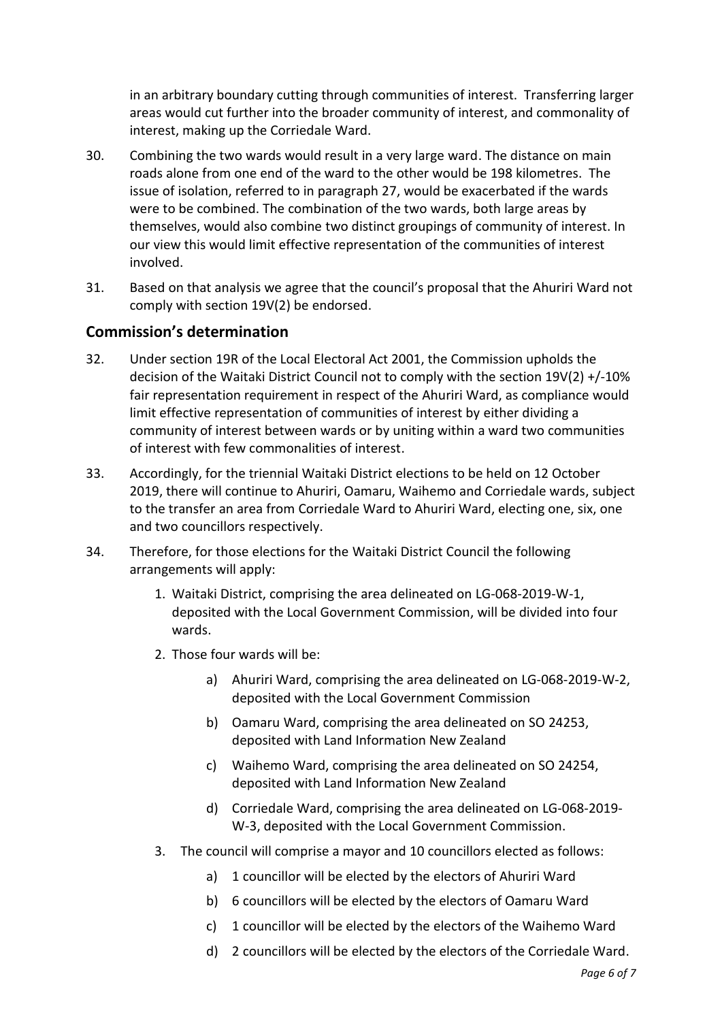in an arbitrary boundary cutting through communities of interest. Transferring larger areas would cut further into the broader community of interest, and commonality of interest, making up the Corriedale Ward.

- 30. Combining the two wards would result in a very large ward. The distance on main roads alone from one end of the ward to the other would be 198 kilometres. The issue of isolation, referred to in paragraph 27, would be exacerbated if the wards were to be combined. The combination of the two wards, both large areas by themselves, would also combine two distinct groupings of community of interest. In our view this would limit effective representation of the communities of interest involved.
- 31. Based on that analysis we agree that the council's proposal that the Ahuriri Ward not comply with section 19V(2) be endorsed.

### **Commission's determination**

- 32. Under section 19R of the Local Electoral Act 2001, the Commission upholds the decision of the Waitaki District Council not to comply with the section 19V(2) +/-10% fair representation requirement in respect of the Ahuriri Ward, as compliance would limit effective representation of communities of interest by either dividing a community of interest between wards or by uniting within a ward two communities of interest with few commonalities of interest.
- 33. Accordingly, for the triennial Waitaki District elections to be held on 12 October 2019, there will continue to Ahuriri, Oamaru, Waihemo and Corriedale wards, subject to the transfer an area from Corriedale Ward to Ahuriri Ward, electing one, six, one and two councillors respectively.
- 34. Therefore, for those elections for the Waitaki District Council the following arrangements will apply:
	- 1. Waitaki District, comprising the area delineated on LG-068-2019-W-1, deposited with the Local Government Commission, will be divided into four wards.
	- 2. Those four wards will be:
		- a) Ahuriri Ward, comprising the area delineated on LG-068-2019-W-2, deposited with the Local Government Commission
		- b) Oamaru Ward, comprising the area delineated on SO 24253, deposited with Land Information New Zealand
		- c) Waihemo Ward, comprising the area delineated on SO 24254, deposited with Land Information New Zealand
		- d) Corriedale Ward, comprising the area delineated on LG-068-2019- W-3, deposited with the Local Government Commission.
	- 3. The council will comprise a mayor and 10 councillors elected as follows:
		- a) 1 councillor will be elected by the electors of Ahuriri Ward
		- b) 6 councillors will be elected by the electors of Oamaru Ward
		- c) 1 councillor will be elected by the electors of the Waihemo Ward
		- d) 2 councillors will be elected by the electors of the Corriedale Ward.